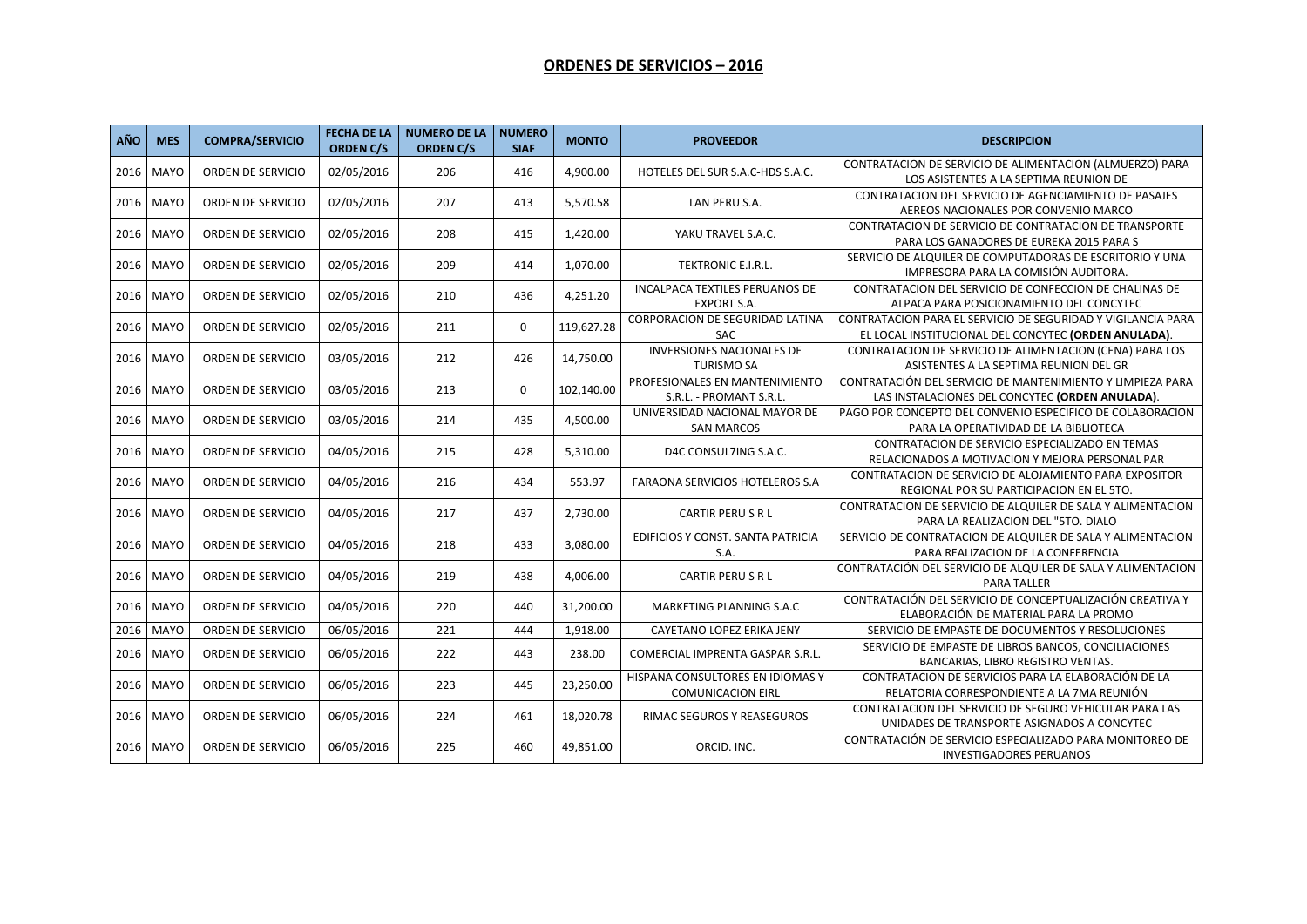## **ORDENES DE SERVICIOS – 2016**

| <b>AÑO</b> | <b>MES</b>  | <b>COMPRA/SERVICIO</b> | <b>FECHA DE LA</b><br><b>ORDEN C/S</b> | <b>NUMERO DE LA</b><br><b>ORDEN C/S</b> | <b>NUMERO</b><br><b>SIAF</b> | <b>MONTO</b> | <b>PROVEEDOR</b>                                             | <b>DESCRIPCION</b>                                                                                                   |
|------------|-------------|------------------------|----------------------------------------|-----------------------------------------|------------------------------|--------------|--------------------------------------------------------------|----------------------------------------------------------------------------------------------------------------------|
| 2016       | <b>MAYO</b> | ORDEN DE SERVICIO      | 02/05/2016                             | 206                                     | 416                          | 4,900.00     | HOTELES DEL SUR S.A.C-HDS S.A.C.                             | CONTRATACION DE SERVICIO DE ALIMENTACION (ALMUERZO) PARA<br>LOS ASISTENTES A LA SEPTIMA REUNION DE                   |
|            | 2016 MAYO   | ORDEN DE SERVICIO      | 02/05/2016                             | 207                                     | 413                          | 5,570.58     | LAN PERU S.A.                                                | CONTRATACION DEL SERVICIO DE AGENCIAMIENTO DE PASAJES<br>AEREOS NACIONALES POR CONVENIO MARCO                        |
| 2016       | <b>MAYO</b> | ORDEN DE SERVICIO      | 02/05/2016                             | 208                                     | 415                          | 1,420.00     | YAKU TRAVEL S.A.C.                                           | CONTRATACION DE SERVICIO DE CONTRATACION DE TRANSPORTE<br>PARA LOS GANADORES DE EUREKA 2015 PARA S                   |
| 2016       | <b>MAYO</b> | ORDEN DE SERVICIO      | 02/05/2016                             | 209                                     | 414                          | 1,070.00     | TEKTRONIC E.I.R.L.                                           | SERVICIO DE ALQUILER DE COMPUTADORAS DE ESCRITORIO Y UNA<br>IMPRESORA PARA LA COMISIÓN AUDITORA.                     |
|            | 2016 MAYO   | ORDEN DE SERVICIO      | 02/05/2016                             | 210                                     | 436                          | 4,251.20     | INCALPACA TEXTILES PERUANOS DE<br><b>EXPORT S.A.</b>         | CONTRATACION DEL SERVICIO DE CONFECCION DE CHALINAS DE<br>ALPACA PARA POSICIONAMIENTO DEL CONCYTEC                   |
| 2016       | <b>MAYO</b> | ORDEN DE SERVICIO      | 02/05/2016                             | 211                                     | $\mathbf 0$                  | 119,627.28   | <b>CORPORACION DE SEGURIDAD LATINA</b><br>SAC                | CONTRATACION PARA EL SERVICIO DE SEGURIDAD Y VIGILANCIA PARA<br>EL LOCAL INSTITUCIONAL DEL CONCYTEC (ORDEN ANULADA). |
| 2016       | <b>MAYO</b> | ORDEN DE SERVICIO      | 03/05/2016                             | 212                                     | 426                          | 14,750.00    | <b>INVERSIONES NACIONALES DE</b><br><b>TURISMO SA</b>        | CONTRATACION DE SERVICIO DE ALIMENTACION (CENA) PARA LOS<br>ASISTENTES A LA SEPTIMA REUNION DEL GR                   |
|            | 2016 MAYO   | ORDEN DE SERVICIO      | 03/05/2016                             | 213                                     | $\mathbf 0$                  | 102,140.00   | PROFESIONALES EN MANTENIMIENTO<br>S.R.L. - PROMANT S.R.L.    | CONTRATACIÓN DEL SERVICIO DE MANTENIMIENTO Y LIMPIEZA PARA<br>LAS INSTALACIONES DEL CONCYTEC (ORDEN ANULADA).        |
|            | 2016 MAYO   | ORDEN DE SERVICIO      | 03/05/2016                             | 214                                     | 435                          | 4,500.00     | UNIVERSIDAD NACIONAL MAYOR DE<br><b>SAN MARCOS</b>           | PAGO POR CONCEPTO DEL CONVENIO ESPECIFICO DE COLABORACION<br>PARA LA OPERATIVIDAD DE LA BIBLIOTECA                   |
| 2016       | MAYO        | ORDEN DE SERVICIO      | 04/05/2016                             | 215                                     | 428                          | 5,310.00     | D4C CONSUL7ING S.A.C.                                        | CONTRATACION DE SERVICIO ESPECIALIZADO EN TEMAS<br>RELACIONADOS A MOTIVACION Y MEJORA PERSONAL PAR                   |
| 2016       | <b>MAYO</b> | ORDEN DE SERVICIO      | 04/05/2016                             | 216                                     | 434                          | 553.97       | <b>FARAONA SERVICIOS HOTELEROS S.A.</b>                      | CONTRATACION DE SERVICIO DE ALOJAMIENTO PARA EXPOSITOR<br>REGIONAL POR SU PARTICIPACION EN EL 5TO.                   |
| 2016       | <b>MAYO</b> | ORDEN DE SERVICIO      | 04/05/2016                             | 217                                     | 437                          | 2,730.00     | CARTIR PERUSRL                                               | CONTRATACION DE SERVICIO DE ALQUILER DE SALA Y ALIMENTACION<br>PARA LA REALIZACION DEL "5TO. DIALO                   |
|            | 2016 MAYO   | ORDEN DE SERVICIO      | 04/05/2016                             | 218                                     | 433                          | 3,080.00     | EDIFICIOS Y CONST. SANTA PATRICIA<br>S.A.                    | SERVICIO DE CONTRATACION DE ALQUILER DE SALA Y ALIMENTACION<br>PARA REALIZACION DE LA CONFERENCIA                    |
|            | 2016 MAYO   | ORDEN DE SERVICIO      | 04/05/2016                             | 219                                     | 438                          | 4,006.00     | <b>CARTIR PERUSRL</b>                                        | CONTRATACIÓN DEL SERVICIO DE ALQUILER DE SALA Y ALIMENTACION<br>PARA TALLER                                          |
| 2016       | <b>MAYO</b> | ORDEN DE SERVICIO      | 04/05/2016                             | 220                                     | 440                          | 31,200.00    | MARKETING PLANNING S.A.C                                     | CONTRATACIÓN DEL SERVICIO DE CONCEPTUALIZACIÓN CREATIVA Y<br>ELABORACIÓN DE MATERIAL PARA LA PROMO                   |
| 2016       | <b>MAYO</b> | ORDEN DE SERVICIO      | 06/05/2016                             | 221                                     | 444                          | 1.918.00     | CAYETANO LOPEZ ERIKA JENY                                    | SERVICIO DE EMPASTE DE DOCUMENTOS Y RESOLUCIONES                                                                     |
| 2016       | <b>MAYO</b> | ORDEN DE SERVICIO      | 06/05/2016                             | 222                                     | 443                          | 238.00       | COMERCIAL IMPRENTA GASPAR S.R.L.                             | SERVICIO DE EMPASTE DE LIBROS BANCOS, CONCILIACIONES<br>BANCARIAS, LIBRO REGISTRO VENTAS.                            |
| 2016       | MAYO        | ORDEN DE SERVICIO      | 06/05/2016                             | 223                                     | 445                          | 23,250.00    | HISPANA CONSULTORES EN IDIOMAS Y<br><b>COMUNICACION EIRL</b> | CONTRATACION DE SERVICIOS PARA LA ELABORACIÓN DE LA<br>RELATORIA CORRESPONDIENTE A LA 7MA REUNIÓN                    |
|            | 2016 MAYO   | ORDEN DE SERVICIO      | 06/05/2016                             | 224                                     | 461                          | 18,020.78    | RIMAC SEGUROS Y REASEGUROS                                   | CONTRATACION DEL SERVICIO DE SEGURO VEHICULAR PARA LAS<br>UNIDADES DE TRANSPORTE ASIGNADOS A CONCYTEC                |
|            | 2016 MAYO   | ORDEN DE SERVICIO      | 06/05/2016                             | 225                                     | 460                          | 49,851.00    | ORCID. INC.                                                  | CONTRATACIÓN DE SERVICIO ESPECIALIZADO PARA MONITOREO DE<br><b>INVESTIGADORES PERUANOS</b>                           |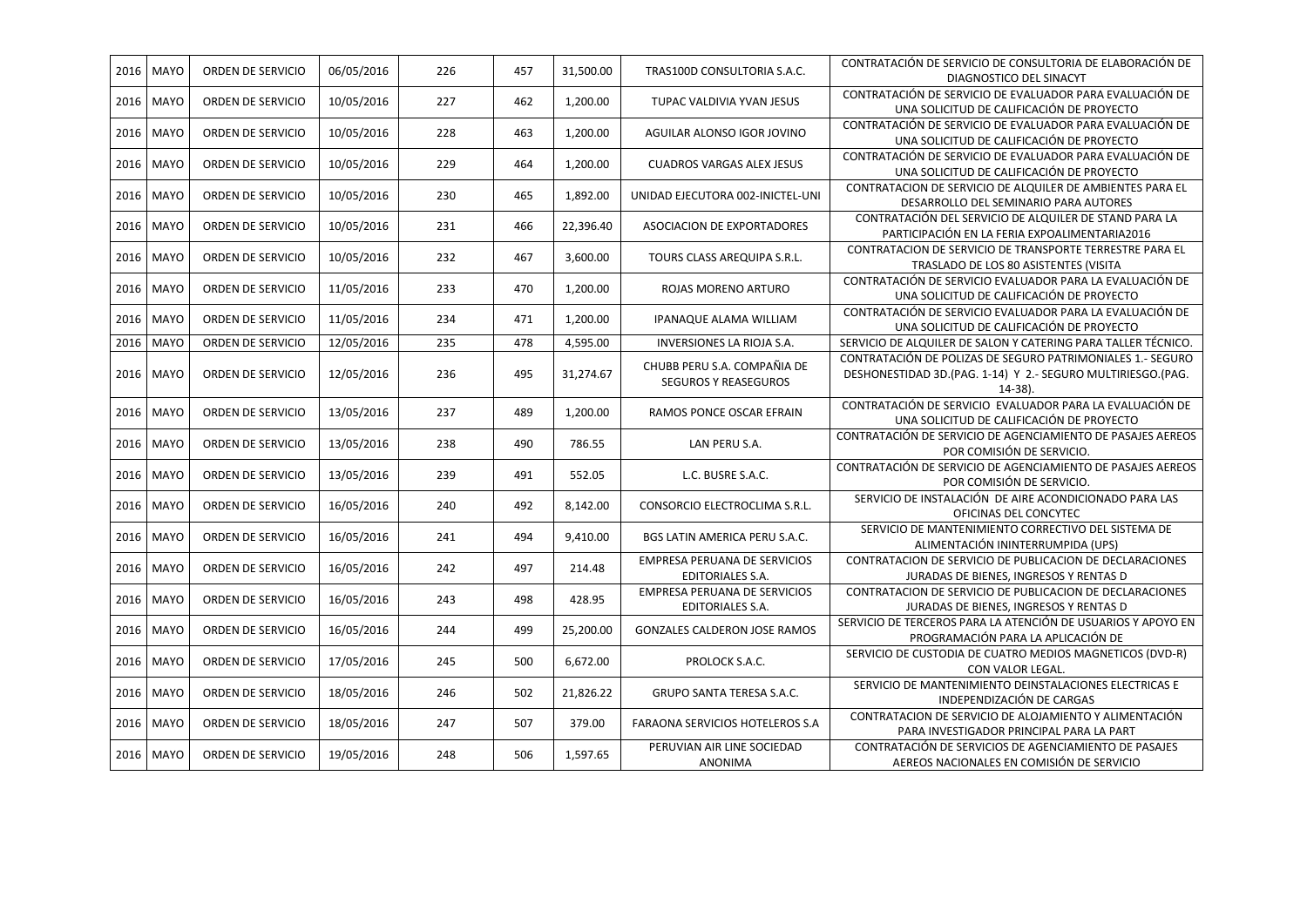| 2016 | MAYO        | ORDEN DE SERVICIO | 06/05/2016 | 226 | 457 | 31,500.00 | TRAS100D CONSULTORIA S.A.C.                                | CONTRATACIÓN DE SERVICIO DE CONSULTORIA DE ELABORACIÓN DE<br>DIAGNOSTICO DEL SINACYT                                                    |
|------|-------------|-------------------|------------|-----|-----|-----------|------------------------------------------------------------|-----------------------------------------------------------------------------------------------------------------------------------------|
| 2016 | MAYO        | ORDEN DE SERVICIO | 10/05/2016 | 227 | 462 | 1,200.00  | TUPAC VALDIVIA YVAN JESUS                                  | CONTRATACIÓN DE SERVICIO DE EVALUADOR PARA EVALUACIÓN DE<br>UNA SOLICITUD DE CALIFICACIÓN DE PROYECTO                                   |
| 2016 | <b>MAYO</b> | ORDEN DE SERVICIO | 10/05/2016 | 228 | 463 | 1,200.00  | AGUILAR ALONSO IGOR JOVINO                                 | CONTRATACIÓN DE SERVICIO DE EVALUADOR PARA EVALUACIÓN DE<br>UNA SOLICITUD DE CALIFICACIÓN DE PROYECTO                                   |
| 2016 | <b>MAYO</b> | ORDEN DE SERVICIO | 10/05/2016 | 229 | 464 | 1,200.00  | <b>CUADROS VARGAS ALEX JESUS</b>                           | CONTRATACIÓN DE SERVICIO DE EVALUADOR PARA EVALUACIÓN DE<br>UNA SOLICITUD DE CALIFICACIÓN DE PROYECTO                                   |
| 2016 | MAYO        | ORDEN DE SERVICIO | 10/05/2016 | 230 | 465 | 1,892.00  | UNIDAD EJECUTORA 002-INICTEL-UNI                           | CONTRATACION DE SERVICIO DE ALQUILER DE AMBIENTES PARA EL<br>DESARROLLO DEL SEMINARIO PARA AUTORES                                      |
| 2016 | <b>MAYO</b> | ORDEN DE SERVICIO | 10/05/2016 | 231 | 466 | 22,396.40 | ASOCIACION DE EXPORTADORES                                 | CONTRATACIÓN DEL SERVICIO DE ALQUILER DE STAND PARA LA<br>PARTICIPACIÓN EN LA FERIA EXPOALIMENTARIA2016                                 |
| 2016 | MAYO        | ORDEN DE SERVICIO | 10/05/2016 | 232 | 467 | 3,600.00  | TOURS CLASS AREQUIPA S.R.L.                                | CONTRATACION DE SERVICIO DE TRANSPORTE TERRESTRE PARA EL<br>TRASLADO DE LOS 80 ASISTENTES (VISITA                                       |
| 2016 | <b>MAYO</b> | ORDEN DE SERVICIO | 11/05/2016 | 233 | 470 | 1,200.00  | ROJAS MORENO ARTURO                                        | CONTRATACIÓN DE SERVICIO EVALUADOR PARA LA EVALUACIÓN DE<br>UNA SOLICITUD DE CALIFICACIÓN DE PROYECTO                                   |
| 2016 | <b>MAYO</b> | ORDEN DE SERVICIO | 11/05/2016 | 234 | 471 | 1,200.00  | IPANAQUE ALAMA WILLIAM                                     | CONTRATACIÓN DE SERVICIO EVALUADOR PARA LA EVALUACIÓN DE<br>UNA SOLICITUD DE CALIFICACIÓN DE PROYECTO                                   |
| 2016 | <b>MAYO</b> | ORDEN DE SERVICIO | 12/05/2016 | 235 | 478 | 4,595.00  | INVERSIONES LA RIOJA S.A.                                  | SERVICIO DE ALQUILER DE SALON Y CATERING PARA TALLER TÉCNICO.                                                                           |
| 2016 | <b>MAYO</b> | ORDEN DE SERVICIO | 12/05/2016 | 236 | 495 | 31,274.67 | CHUBB PERU S.A. COMPAÑIA DE<br><b>SEGUROS Y REASEGUROS</b> | CONTRATACIÓN DE POLIZAS DE SEGURO PATRIMONIALES 1.- SEGURO<br>DESHONESTIDAD 3D.(PAG. 1-14) Y 2.- SEGURO MULTIRIESGO.(PAG.<br>$14-38$ ). |
| 2016 | <b>MAYO</b> | ORDEN DE SERVICIO | 13/05/2016 | 237 | 489 | 1,200.00  | RAMOS PONCE OSCAR EFRAIN                                   | CONTRATACIÓN DE SERVICIO EVALUADOR PARA LA EVALUACIÓN DE<br>UNA SOLICITUD DE CALIFICACIÓN DE PROYECTO                                   |
| 2016 | MAYO        | ORDEN DE SERVICIO | 13/05/2016 | 238 | 490 | 786.55    | LAN PERU S.A.                                              | CONTRATACIÓN DE SERVICIO DE AGENCIAMIENTO DE PASAJES AEREOS<br>POR COMISIÓN DE SERVICIO.                                                |
| 2016 | <b>MAYO</b> | ORDEN DE SERVICIO | 13/05/2016 | 239 | 491 | 552.05    | L.C. BUSRE S.A.C.                                          | CONTRATACIÓN DE SERVICIO DE AGENCIAMIENTO DE PASAJES AEREOS<br>POR COMISIÓN DE SERVICIO.                                                |
| 2016 | MAYO        | ORDEN DE SERVICIO | 16/05/2016 | 240 | 492 | 8,142.00  | CONSORCIO ELECTROCLIMA S.R.L.                              | SERVICIO DE INSTALACIÓN DE AIRE ACONDICIONADO PARA LAS<br>OFICINAS DEL CONCYTEC                                                         |
| 2016 | <b>MAYO</b> | ORDEN DE SERVICIO | 16/05/2016 | 241 | 494 | 9,410.00  | BGS LATIN AMERICA PERU S.A.C.                              | SERVICIO DE MANTENIMIENTO CORRECTIVO DEL SISTEMA DE<br>ALIMENTACIÓN ININTERRUMPIDA (UPS)                                                |
| 2016 | <b>MAYO</b> | ORDEN DE SERVICIO | 16/05/2016 | 242 | 497 | 214.48    | EMPRESA PERUANA DE SERVICIOS<br>EDITORIALES S.A.           | CONTRATACION DE SERVICIO DE PUBLICACION DE DECLARACIONES<br>JURADAS DE BIENES, INGRESOS Y RENTAS D                                      |
| 2016 | <b>MAYO</b> | ORDEN DE SERVICIO | 16/05/2016 | 243 | 498 | 428.95    | EMPRESA PERUANA DE SERVICIOS<br>EDITORIALES S.A.           | CONTRATACION DE SERVICIO DE PUBLICACION DE DECLARACIONES<br>JURADAS DE BIENES, INGRESOS Y RENTAS D                                      |
| 2016 | MAYO        | ORDEN DE SERVICIO | 16/05/2016 | 244 | 499 | 25,200.00 | <b>GONZALES CALDERON JOSE RAMOS</b>                        | SERVICIO DE TERCEROS PARA LA ATENCIÓN DE USUARIOS Y APOYO EN<br>PROGRAMACIÓN PARA LA APLICACIÓN DE                                      |
| 2016 | <b>MAYO</b> | ORDEN DE SERVICIO | 17/05/2016 | 245 | 500 | 6,672.00  | PROLOCK S.A.C.                                             | SERVICIO DE CUSTODIA DE CUATRO MEDIOS MAGNETICOS (DVD-R)<br>CON VALOR LEGAL.                                                            |
| 2016 | <b>MAYO</b> | ORDEN DE SERVICIO | 18/05/2016 | 246 | 502 | 21,826.22 | GRUPO SANTA TERESA S.A.C.                                  | SERVICIO DE MANTENIMIENTO DEINSTALACIONES ELECTRICAS E<br>INDEPENDIZACIÓN DE CARGAS                                                     |
| 2016 | <b>MAYO</b> | ORDEN DE SERVICIO | 18/05/2016 | 247 | 507 | 379.00    | FARAONA SERVICIOS HOTELEROS S.A                            | CONTRATACION DE SERVICIO DE ALOJAMIENTO Y ALIMENTACIÓN<br>PARA INVESTIGADOR PRINCIPAL PARA LA PART                                      |
|      | 2016 MAYO   | ORDEN DE SERVICIO | 19/05/2016 | 248 | 506 | 1,597.65  | PERUVIAN AIR LINE SOCIEDAD<br><b>ANONIMA</b>               | CONTRATACIÓN DE SERVICIOS DE AGENCIAMIENTO DE PASAJES<br>AEREOS NACIONALES EN COMISIÓN DE SERVICIO                                      |